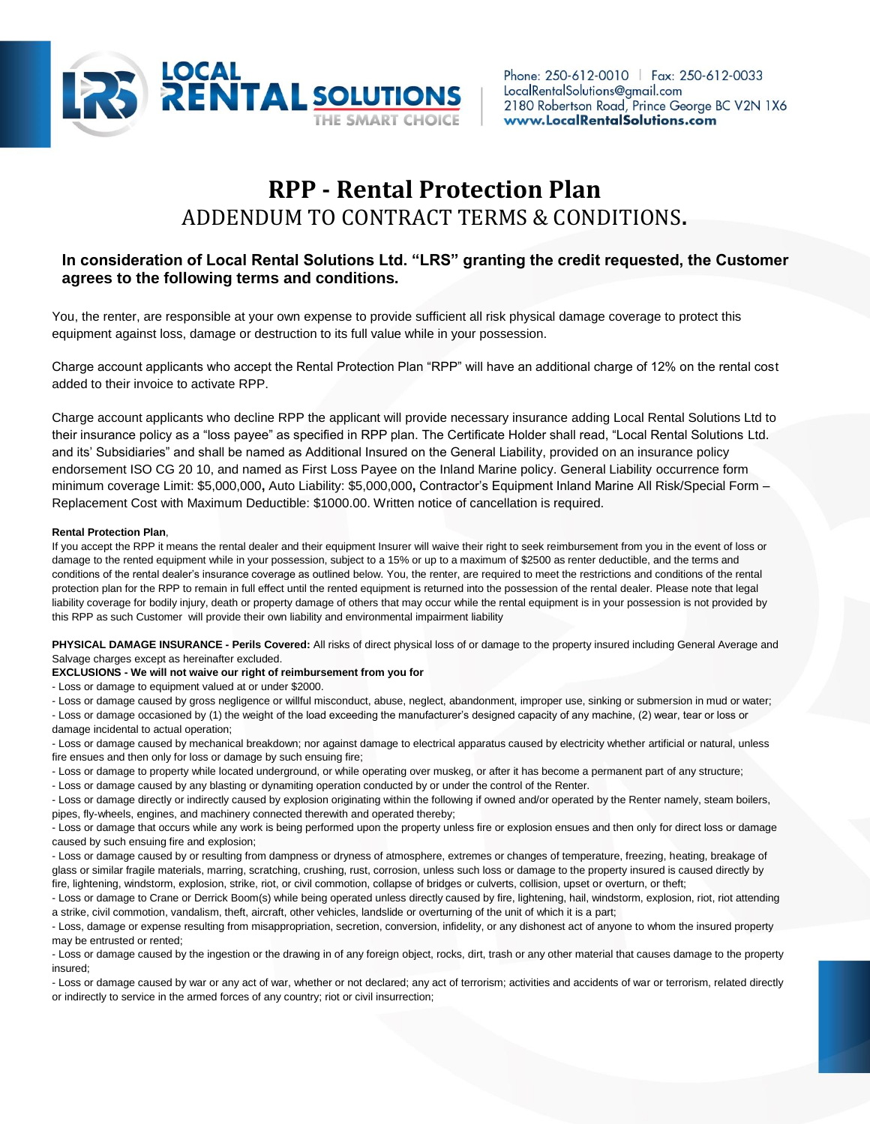

# **RPP - Rental Protection Plan** ADDENDUM TO CONTRACT TERMS & CONDITIONS**.**

# **In consideration of Local Rental Solutions Ltd. "LRS" granting the credit requested, the Customer agrees to the following terms and conditions.**

You, the renter, are responsible at your own expense to provide sufficient all risk physical damage coverage to protect this equipment against loss, damage or destruction to its full value while in your possession.

Charge account applicants who accept the Rental Protection Plan "RPP" will have an additional charge of 12% on the rental cost added to their invoice to activate RPP.

Charge account applicants who decline RPP the applicant will provide necessary insurance adding Local Rental Solutions Ltd to their insurance policy as a "loss payee" as specified in RPP plan. The Certificate Holder shall read, "Local Rental Solutions Ltd. and its' Subsidiaries" and shall be named as Additional Insured on the General Liability, provided on an insurance policy endorsement ISO CG 20 10, and named as First Loss Payee on the Inland Marine policy. General Liability occurrence form minimum coverage Limit: \$5,000,000**,** Auto Liability: \$5,000,000**,** Contractor's Equipment Inland Marine All Risk/Special Form – Replacement Cost with Maximum Deductible: \$1000.00. Written notice of cancellation is required.

## **Rental Protection Plan**,

If you accept the RPP it means the rental dealer and their equipment Insurer will waive their right to seek reimbursement from you in the event of loss or damage to the rented equipment while in your possession, subject to a 15% or up to a maximum of \$2500 as renter deductible, and the terms and conditions of the rental dealer's insurance coverage as outlined below. You, the renter, are required to meet the restrictions and conditions of the rental protection plan for the RPP to remain in full effect until the rented equipment is returned into the possession of the rental dealer. Please note that legal liability coverage for bodily injury, death or property damage of others that may occur while the rental equipment is in your possession is not provided by this RPP as such Customer will provide their own liability and environmental impairment liability

**PHYSICAL DAMAGE INSURANCE - Perils Covered:** All risks of direct physical loss of or damage to the property insured including General Average and Salvage charges except as hereinafter excluded.

### **EXCLUSIONS - We will not waive our right of reimbursement from you for**

- Loss or damage to equipment valued at or under \$2000.

- Loss or damage caused by gross negligence or willful misconduct, abuse, neglect, abandonment, improper use, sinking or submersion in mud or water;

- Loss or damage occasioned by (1) the weight of the load exceeding the manufacturer's designed capacity of any machine, (2) wear, tear or loss or damage incidental to actual operation;

- Loss or damage caused by mechanical breakdown; nor against damage to electrical apparatus caused by electricity whether artificial or natural, unless fire ensues and then only for loss or damage by such ensuing fire;

- Loss or damage to property while located underground, or while operating over muskeg, or after it has become a permanent part of any structure;

- Loss or damage caused by any blasting or dynamiting operation conducted by or under the control of the Renter.

- Loss or damage directly or indirectly caused by explosion originating within the following if owned and/or operated by the Renter namely, steam boilers, pipes, fly-wheels, engines, and machinery connected therewith and operated thereby;

- Loss or damage that occurs while any work is being performed upon the property unless fire or explosion ensues and then only for direct loss or damage caused by such ensuing fire and explosion;

- Loss or damage caused by or resulting from dampness or dryness of atmosphere, extremes or changes of temperature, freezing, heating, breakage of glass or similar fragile materials, marring, scratching, crushing, rust, corrosion, unless such loss or damage to the property insured is caused directly by fire, lightening, windstorm, explosion, strike, riot, or civil commotion, collapse of bridges or culverts, collision, upset or overturn, or theft;

- Loss or damage to Crane or Derrick Boom(s) while being operated unless directly caused by fire, lightening, hail, windstorm, explosion, riot, riot attending a strike, civil commotion, vandalism, theft, aircraft, other vehicles, landslide or overturning of the unit of which it is a part;

- Loss, damage or expense resulting from misappropriation, secretion, conversion, infidelity, or any dishonest act of anyone to whom the insured property may be entrusted or rented;

- Loss or damage caused by the ingestion or the drawing in of any foreign object, rocks, dirt, trash or any other material that causes damage to the property insured;

- Loss or damage caused by war or any act of war, whether or not declared; any act of terrorism; activities and accidents of war or terrorism, related directly or indirectly to service in the armed forces of any country; riot or civil insurrection;